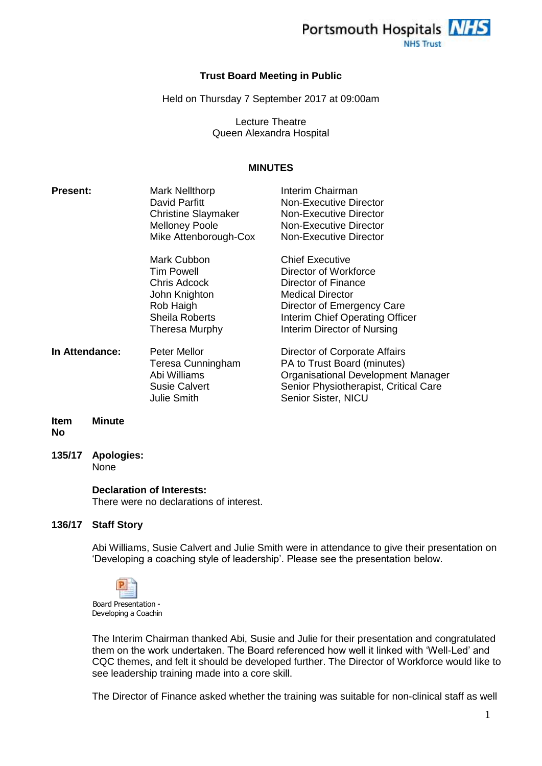

### **Trust Board Meeting in Public**

Held on Thursday 7 September 2017 at 09:00am

Lecture Theatre Queen Alexandra Hospital

### **MINUTES**

| <b>Present:</b> | <b>Mark Nellthorp</b><br>David Parfitt<br><b>Christine Slaymaker</b><br><b>Melloney Poole</b><br>Mike Attenborough-Cox           | Interim Chairman<br>Non-Executive Director<br>Non-Executive Director<br><b>Non-Executive Director</b><br>Non-Executive Director                                                                   |
|-----------------|----------------------------------------------------------------------------------------------------------------------------------|---------------------------------------------------------------------------------------------------------------------------------------------------------------------------------------------------|
|                 | Mark Cubbon<br><b>Tim Powell</b><br><b>Chris Adcock</b><br>John Knighton<br>Rob Haigh<br>Sheila Roberts<br><b>Theresa Murphy</b> | <b>Chief Executive</b><br>Director of Workforce<br>Director of Finance<br><b>Medical Director</b><br>Director of Emergency Care<br>Interim Chief Operating Officer<br>Interim Director of Nursing |
| In Attendance:  | Peter Mellor<br>Teresa Cunningham<br>Abi Williams<br><b>Susie Calvert</b><br><b>Julie Smith</b>                                  | Director of Corporate Affairs<br>PA to Trust Board (minutes)<br><b>Organisational Development Manager</b><br>Senior Physiotherapist, Critical Care<br>Senior Sister, NICU                         |
| <b>BALL LAN</b> |                                                                                                                                  |                                                                                                                                                                                                   |

- **Item No Minute**
- **135/17 Apologies:**

None

### **Declaration of Interests:**

There were no declarations of interest.

### **136/17 Staff Story**

Abi Williams, Susie Calvert and Julie Smith were in attendance to give their presentation on 'Developing a coaching style of leadership'. Please see the presentation below.



The Interim Chairman thanked Abi, Susie and Julie for their presentation and congratulated them on the work undertaken. The Board referenced how well it linked with 'Well-Led' and CQC themes, and felt it should be developed further. The Director of Workforce would like to see leadership training made into a core skill.

The Director of Finance asked whether the training was suitable for non-clinical staff as well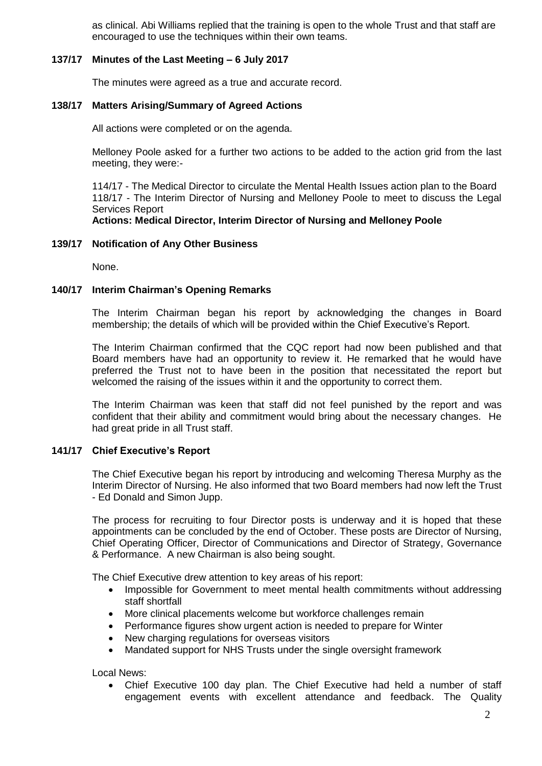as clinical. Abi Williams replied that the training is open to the whole Trust and that staff are encouraged to use the techniques within their own teams.

## **137/17 Minutes of the Last Meeting – 6 July 2017**

The minutes were agreed as a true and accurate record.

### **138/17 Matters Arising/Summary of Agreed Actions**

All actions were completed or on the agenda.

Melloney Poole asked for a further two actions to be added to the action grid from the last meeting, they were:-

114/17 - The Medical Director to circulate the Mental Health Issues action plan to the Board 118/17 - The Interim Director of Nursing and Melloney Poole to meet to discuss the Legal Services Report

## **Actions: Medical Director, Interim Director of Nursing and Melloney Poole**

### **139/17 Notification of Any Other Business**

None.

### **140/17 Interim Chairman's Opening Remarks**

The Interim Chairman began his report by acknowledging the changes in Board membership; the details of which will be provided within the Chief Executive's Report.

The Interim Chairman confirmed that the CQC report had now been published and that Board members have had an opportunity to review it. He remarked that he would have preferred the Trust not to have been in the position that necessitated the report but welcomed the raising of the issues within it and the opportunity to correct them.

The Interim Chairman was keen that staff did not feel punished by the report and was confident that their ability and commitment would bring about the necessary changes. He had great pride in all Trust staff.

## **141/17 Chief Executive's Report**

The Chief Executive began his report by introducing and welcoming Theresa Murphy as the Interim Director of Nursing. He also informed that two Board members had now left the Trust - Ed Donald and Simon Jupp.

The process for recruiting to four Director posts is underway and it is hoped that these appointments can be concluded by the end of October. These posts are Director of Nursing, Chief Operating Officer, Director of Communications and Director of Strategy, Governance & Performance. A new Chairman is also being sought.

The Chief Executive drew attention to key areas of his report:

- Impossible for Government to meet mental health commitments without addressing staff shortfall
- More clinical placements welcome but workforce challenges remain
- Performance figures show urgent action is needed to prepare for Winter
- New charging regulations for overseas visitors
- Mandated support for NHS Trusts under the single oversight framework

Local News:

 Chief Executive 100 day plan. The Chief Executive had held a number of staff engagement events with excellent attendance and feedback. The Quality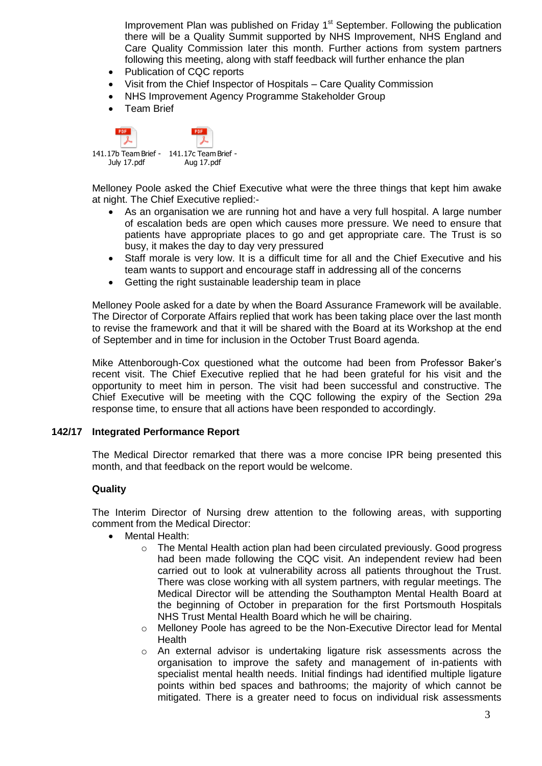Improvement Plan was published on Friday 1<sup>st</sup> September. Following the publication there will be a Quality Summit supported by NHS Improvement, NHS England and Care Quality Commission later this month. Further actions from system partners following this meeting, along with staff feedback will further enhance the plan

- Publication of CQC reports
- Visit from the Chief Inspector of Hospitals Care Quality Commission
- NHS Improvement Agency Programme Stakeholder Group
- **•** Team Brief

| 141.17b Team Brief - 141.17c Team Brief - |            |
|-------------------------------------------|------------|
| July 17.pdf                               | Aug 17.pdf |

Melloney Poole asked the Chief Executive what were the three things that kept him awake at night. The Chief Executive replied:-

- As an organisation we are running hot and have a very full hospital. A large number of escalation beds are open which causes more pressure. We need to ensure that patients have appropriate places to go and get appropriate care. The Trust is so busy, it makes the day to day very pressured
- Staff morale is very low. It is a difficult time for all and the Chief Executive and his team wants to support and encourage staff in addressing all of the concerns
- Getting the right sustainable leadership team in place

Melloney Poole asked for a date by when the Board Assurance Framework will be available. The Director of Corporate Affairs replied that work has been taking place over the last month to revise the framework and that it will be shared with the Board at its Workshop at the end of September and in time for inclusion in the October Trust Board agenda.

Mike Attenborough-Cox questioned what the outcome had been from Professor Baker's recent visit. The Chief Executive replied that he had been grateful for his visit and the opportunity to meet him in person. The visit had been successful and constructive. The Chief Executive will be meeting with the CQC following the expiry of the Section 29a response time, to ensure that all actions have been responded to accordingly.

### **142/17 Integrated Performance Report**

The Medical Director remarked that there was a more concise IPR being presented this month, and that feedback on the report would be welcome.

## **Quality**

The Interim Director of Nursing drew attention to the following areas, with supporting comment from the Medical Director:

- Mental Health:
	- o The Mental Health action plan had been circulated previously. Good progress had been made following the CQC visit. An independent review had been carried out to look at vulnerability across all patients throughout the Trust. There was close working with all system partners, with regular meetings. The Medical Director will be attending the Southampton Mental Health Board at the beginning of October in preparation for the first Portsmouth Hospitals NHS Trust Mental Health Board which he will be chairing.
	- $\circ$  Melloney Poole has agreed to be the Non-Executive Director lead for Mental Health
	- $\circ$  An external advisor is undertaking ligature risk assessments across the organisation to improve the safety and management of in-patients with specialist mental health needs. Initial findings had identified multiple ligature points within bed spaces and bathrooms; the majority of which cannot be mitigated. There is a greater need to focus on individual risk assessments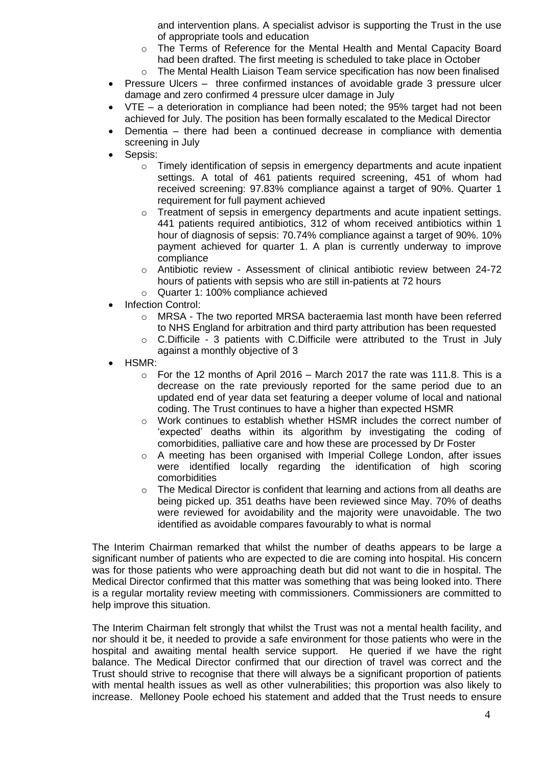and intervention plans. A specialist advisor is supporting the Trust in the use of appropriate tools and education

- o The Terms of Reference for the Mental Health and Mental Capacity Board had been drafted. The first meeting is scheduled to take place in October
- $\circ$  The Mental Health Liaison Team service specification has now been finalised
- Pressure Ulcers three confirmed instances of avoidable grade 3 pressure ulcer damage and zero confirmed 4 pressure ulcer damage in July
- VTE a deterioration in compliance had been noted; the 95% target had not been achieved for July. The position has been formally escalated to the Medical Director
- Dementia there had been a continued decrease in compliance with dementia screening in July
- Sepsis:
	- o Timely identification of sepsis in emergency departments and acute inpatient settings. A total of 461 patients required screening, 451 of whom had received screening: 97.83% compliance against a target of 90%. Quarter 1 requirement for full payment achieved
	- $\circ$  Treatment of sepsis in emergency departments and acute inpatient settings. 441 patients required antibiotics, 312 of whom received antibiotics within 1 hour of diagnosis of sepsis: 70.74% compliance against a target of 90%. 10% payment achieved for quarter 1. A plan is currently underway to improve compliance
	- o Antibiotic review Assessment of clinical antibiotic review between 24-72 hours of patients with sepsis who are still in-patients at 72 hours
	- o Quarter 1: 100% compliance achieved
- Infection Control:
	- $\circ$  MRSA The two reported MRSA bacteraemia last month have been referred to NHS England for arbitration and third party attribution has been requested
	- $\circ$  C. Difficile 3 patients with C. Difficile were attributed to the Trust in July against a monthly objective of 3
- HSMR:
	- $\circ$  For the 12 months of April 2016 March 2017 the rate was 111.8. This is a decrease on the rate previously reported for the same period due to an updated end of year data set featuring a deeper volume of local and national coding. The Trust continues to have a higher than expected HSMR
	- $\circ$  Work continues to establish whether HSMR includes the correct number of 'expected' deaths within its algorithm by investigating the coding of comorbidities, palliative care and how these are processed by Dr Foster
	- o A meeting has been organised with Imperial College London, after issues were identified locally regarding the identification of high scoring comorbidities
	- $\circ$  The Medical Director is confident that learning and actions from all deaths are being picked up. 351 deaths have been reviewed since May. 70% of deaths were reviewed for avoidability and the majority were unavoidable. The two identified as avoidable compares favourably to what is normal

The Interim Chairman remarked that whilst the number of deaths appears to be large a significant number of patients who are expected to die are coming into hospital. His concern was for those patients who were approaching death but did not want to die in hospital. The Medical Director confirmed that this matter was something that was being looked into. There is a regular mortality review meeting with commissioners. Commissioners are committed to help improve this situation.

The Interim Chairman felt strongly that whilst the Trust was not a mental health facility, and nor should it be, it needed to provide a safe environment for those patients who were in the hospital and awaiting mental health service support. He queried if we have the right balance. The Medical Director confirmed that our direction of travel was correct and the Trust should strive to recognise that there will always be a significant proportion of patients with mental health issues as well as other vulnerabilities; this proportion was also likely to increase. Melloney Poole echoed his statement and added that the Trust needs to ensure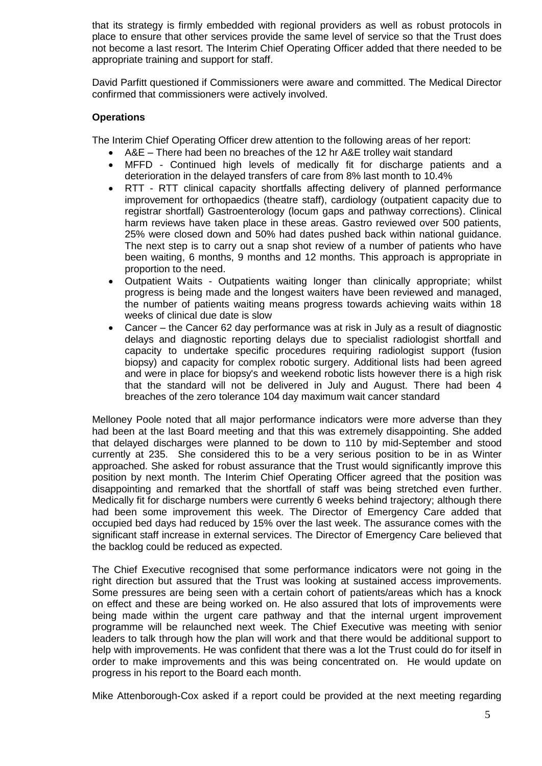that its strategy is firmly embedded with regional providers as well as robust protocols in place to ensure that other services provide the same level of service so that the Trust does not become a last resort. The Interim Chief Operating Officer added that there needed to be appropriate training and support for staff.

David Parfitt questioned if Commissioners were aware and committed. The Medical Director confirmed that commissioners were actively involved.

## **Operations**

The Interim Chief Operating Officer drew attention to the following areas of her report:

- A&E There had been no breaches of the 12 hr A&E trolley wait standard
- MFFD Continued high levels of medically fit for discharge patients and a deterioration in the delayed transfers of care from 8% last month to 10.4%
- RTT RTT clinical capacity shortfalls affecting delivery of planned performance improvement for orthopaedics (theatre staff), cardiology (outpatient capacity due to registrar shortfall) Gastroenterology (locum gaps and pathway corrections). Clinical harm reviews have taken place in these areas. Gastro reviewed over 500 patients, 25% were closed down and 50% had dates pushed back within national guidance. The next step is to carry out a snap shot review of a number of patients who have been waiting, 6 months, 9 months and 12 months. This approach is appropriate in proportion to the need.
- Outpatient Waits Outpatients waiting longer than clinically appropriate; whilst progress is being made and the longest waiters have been reviewed and managed, the number of patients waiting means progress towards achieving waits within 18 weeks of clinical due date is slow
- Cancer the Cancer 62 day performance was at risk in July as a result of diagnostic delays and diagnostic reporting delays due to specialist radiologist shortfall and capacity to undertake specific procedures requiring radiologist support (fusion biopsy) and capacity for complex robotic surgery. Additional lists had been agreed and were in place for biopsy's and weekend robotic lists however there is a high risk that the standard will not be delivered in July and August. There had been 4 breaches of the zero tolerance 104 day maximum wait cancer standard

Melloney Poole noted that all major performance indicators were more adverse than they had been at the last Board meeting and that this was extremely disappointing. She added that delayed discharges were planned to be down to 110 by mid-September and stood currently at 235. She considered this to be a very serious position to be in as Winter approached. She asked for robust assurance that the Trust would significantly improve this position by next month. The Interim Chief Operating Officer agreed that the position was disappointing and remarked that the shortfall of staff was being stretched even further. Medically fit for discharge numbers were currently 6 weeks behind trajectory; although there had been some improvement this week. The Director of Emergency Care added that occupied bed days had reduced by 15% over the last week. The assurance comes with the significant staff increase in external services. The Director of Emergency Care believed that the backlog could be reduced as expected.

The Chief Executive recognised that some performance indicators were not going in the right direction but assured that the Trust was looking at sustained access improvements. Some pressures are being seen with a certain cohort of patients/areas which has a knock on effect and these are being worked on. He also assured that lots of improvements were being made within the urgent care pathway and that the internal urgent improvement programme will be relaunched next week. The Chief Executive was meeting with senior leaders to talk through how the plan will work and that there would be additional support to help with improvements. He was confident that there was a lot the Trust could do for itself in order to make improvements and this was being concentrated on. He would update on progress in his report to the Board each month.

Mike Attenborough-Cox asked if a report could be provided at the next meeting regarding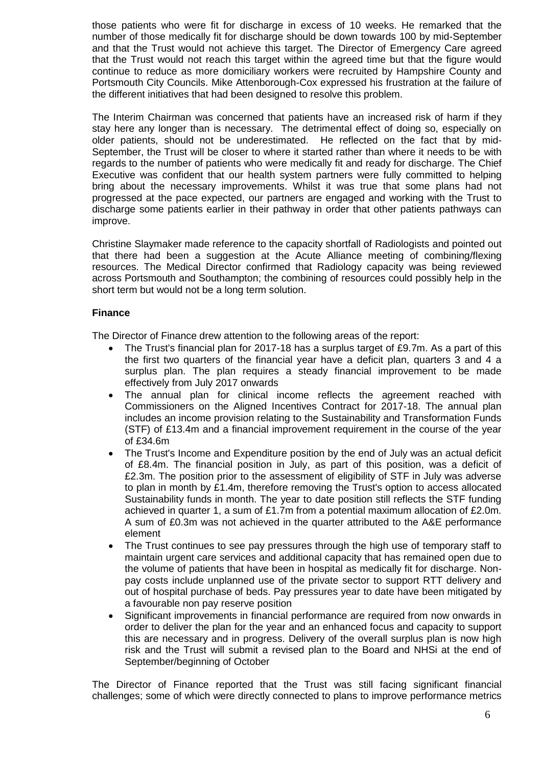those patients who were fit for discharge in excess of 10 weeks. He remarked that the number of those medically fit for discharge should be down towards 100 by mid-September and that the Trust would not achieve this target. The Director of Emergency Care agreed that the Trust would not reach this target within the agreed time but that the figure would continue to reduce as more domiciliary workers were recruited by Hampshire County and Portsmouth City Councils. Mike Attenborough-Cox expressed his frustration at the failure of the different initiatives that had been designed to resolve this problem.

The Interim Chairman was concerned that patients have an increased risk of harm if they stay here any longer than is necessary. The detrimental effect of doing so, especially on older patients, should not be underestimated. He reflected on the fact that by mid-September, the Trust will be closer to where it started rather than where it needs to be with regards to the number of patients who were medically fit and ready for discharge. The Chief Executive was confident that our health system partners were fully committed to helping bring about the necessary improvements. Whilst it was true that some plans had not progressed at the pace expected, our partners are engaged and working with the Trust to discharge some patients earlier in their pathway in order that other patients pathways can improve.

Christine Slaymaker made reference to the capacity shortfall of Radiologists and pointed out that there had been a suggestion at the Acute Alliance meeting of combining/flexing resources. The Medical Director confirmed that Radiology capacity was being reviewed across Portsmouth and Southampton; the combining of resources could possibly help in the short term but would not be a long term solution.

# **Finance**

The Director of Finance drew attention to the following areas of the report:

- The Trust's financial plan for 2017-18 has a surplus target of £9.7m. As a part of this the first two quarters of the financial year have a deficit plan, quarters 3 and 4 a surplus plan. The plan requires a steady financial improvement to be made effectively from July 2017 onwards
- The annual plan for clinical income reflects the agreement reached with Commissioners on the Aligned Incentives Contract for 2017-18. The annual plan includes an income provision relating to the Sustainability and Transformation Funds (STF) of £13.4m and a financial improvement requirement in the course of the year of £34.6m
- The Trust's Income and Expenditure position by the end of July was an actual deficit of £8.4m. The financial position in July, as part of this position, was a deficit of £2.3m. The position prior to the assessment of eligibility of STF in July was adverse to plan in month by £1.4m, therefore removing the Trust's option to access allocated Sustainability funds in month. The year to date position still reflects the STF funding achieved in quarter 1, a sum of £1.7m from a potential maximum allocation of £2.0m. A sum of £0.3m was not achieved in the quarter attributed to the A&E performance element
- The Trust continues to see pay pressures through the high use of temporary staff to maintain urgent care services and additional capacity that has remained open due to the volume of patients that have been in hospital as medically fit for discharge. Nonpay costs include unplanned use of the private sector to support RTT delivery and out of hospital purchase of beds. Pay pressures year to date have been mitigated by a favourable non pay reserve position
- Significant improvements in financial performance are required from now onwards in order to deliver the plan for the year and an enhanced focus and capacity to support this are necessary and in progress. Delivery of the overall surplus plan is now high risk and the Trust will submit a revised plan to the Board and NHSi at the end of September/beginning of October

The Director of Finance reported that the Trust was still facing significant financial challenges; some of which were directly connected to plans to improve performance metrics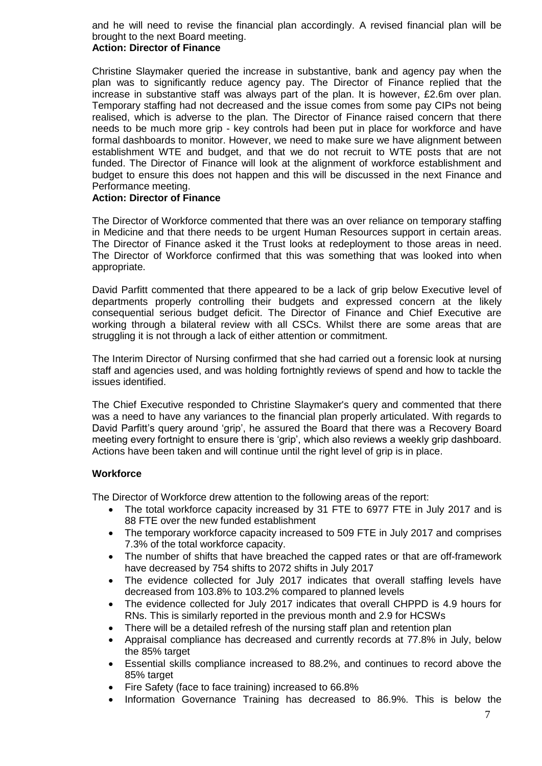and he will need to revise the financial plan accordingly. A revised financial plan will be brought to the next Board meeting.

## **Action: Director of Finance**

Christine Slaymaker queried the increase in substantive, bank and agency pay when the plan was to significantly reduce agency pay. The Director of Finance replied that the increase in substantive staff was always part of the plan. It is however, £2.6m over plan. Temporary staffing had not decreased and the issue comes from some pay CIPs not being realised, which is adverse to the plan. The Director of Finance raised concern that there needs to be much more grip - key controls had been put in place for workforce and have formal dashboards to monitor. However, we need to make sure we have alignment between establishment WTE and budget, and that we do not recruit to WTE posts that are not funded. The Director of Finance will look at the alignment of workforce establishment and budget to ensure this does not happen and this will be discussed in the next Finance and Performance meeting.

## **Action: Director of Finance**

The Director of Workforce commented that there was an over reliance on temporary staffing in Medicine and that there needs to be urgent Human Resources support in certain areas. The Director of Finance asked it the Trust looks at redeployment to those areas in need. The Director of Workforce confirmed that this was something that was looked into when appropriate.

David Parfitt commented that there appeared to be a lack of grip below Executive level of departments properly controlling their budgets and expressed concern at the likely consequential serious budget deficit. The Director of Finance and Chief Executive are working through a bilateral review with all CSCs. Whilst there are some areas that are struggling it is not through a lack of either attention or commitment.

The Interim Director of Nursing confirmed that she had carried out a forensic look at nursing staff and agencies used, and was holding fortnightly reviews of spend and how to tackle the issues identified.

The Chief Executive responded to Christine Slaymaker's query and commented that there was a need to have any variances to the financial plan properly articulated. With regards to David Parfitt's query around 'grip', he assured the Board that there was a Recovery Board meeting every fortnight to ensure there is 'grip', which also reviews a weekly grip dashboard. Actions have been taken and will continue until the right level of grip is in place.

## **Workforce**

The Director of Workforce drew attention to the following areas of the report:

- The total workforce capacity increased by 31 FTE to 6977 FTE in July 2017 and is 88 FTE over the new funded establishment
- The temporary workforce capacity increased to 509 FTE in July 2017 and comprises 7.3% of the total workforce capacity.
- The number of shifts that have breached the capped rates or that are off-framework have decreased by 754 shifts to 2072 shifts in July 2017
- The evidence collected for July 2017 indicates that overall staffing levels have decreased from 103.8% to 103.2% compared to planned levels
- The evidence collected for July 2017 indicates that overall CHPPD is 4.9 hours for RNs. This is similarly reported in the previous month and 2.9 for HCSWs
- There will be a detailed refresh of the nursing staff plan and retention plan
- Appraisal compliance has decreased and currently records at 77.8% in July, below the 85% target
- Essential skills compliance increased to 88.2%, and continues to record above the 85% target
- Fire Safety (face to face training) increased to 66.8%
- Information Governance Training has decreased to 86.9%. This is below the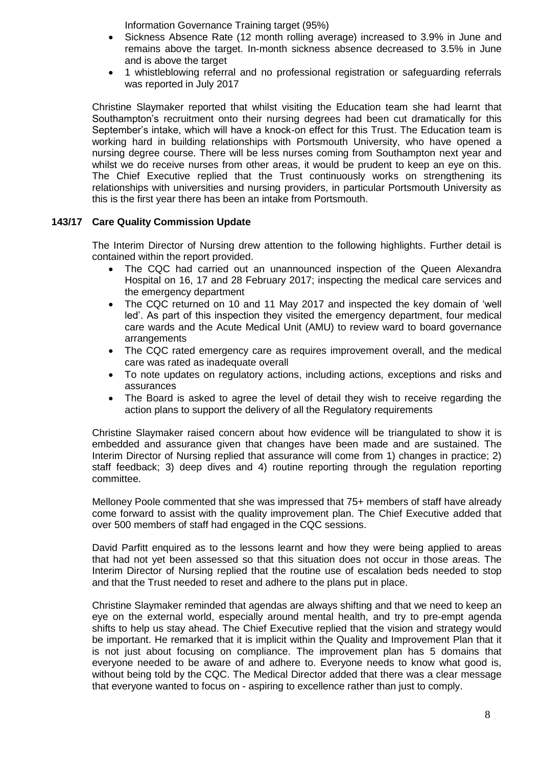Information Governance Training target (95%)

- Sickness Absence Rate (12 month rolling average) increased to 3.9% in June and remains above the target. In-month sickness absence decreased to 3.5% in June and is above the target
- 1 whistleblowing referral and no professional registration or safeguarding referrals was reported in July 2017

Christine Slaymaker reported that whilst visiting the Education team she had learnt that Southampton's recruitment onto their nursing degrees had been cut dramatically for this September's intake, which will have a knock-on effect for this Trust. The Education team is working hard in building relationships with Portsmouth University, who have opened a nursing degree course. There will be less nurses coming from Southampton next year and whilst we do receive nurses from other areas, it would be prudent to keep an eye on this. The Chief Executive replied that the Trust continuously works on strengthening its relationships with universities and nursing providers, in particular Portsmouth University as this is the first year there has been an intake from Portsmouth.

## **143/17 Care Quality Commission Update**

The Interim Director of Nursing drew attention to the following highlights. Further detail is contained within the report provided.

- The CQC had carried out an unannounced inspection of the Queen Alexandra Hospital on 16, 17 and 28 February 2017; inspecting the medical care services and the emergency department
- The CQC returned on 10 and 11 May 2017 and inspected the key domain of 'well led'. As part of this inspection they visited the emergency department, four medical care wards and the Acute Medical Unit (AMU) to review ward to board governance **arrangements**
- The CQC rated emergency care as requires improvement overall, and the medical care was rated as inadequate overall
- To note updates on regulatory actions, including actions, exceptions and risks and assurances
- The Board is asked to agree the level of detail they wish to receive regarding the action plans to support the delivery of all the Regulatory requirements

Christine Slaymaker raised concern about how evidence will be triangulated to show it is embedded and assurance given that changes have been made and are sustained. The Interim Director of Nursing replied that assurance will come from 1) changes in practice; 2) staff feedback; 3) deep dives and 4) routine reporting through the regulation reporting committee.

Melloney Poole commented that she was impressed that 75+ members of staff have already come forward to assist with the quality improvement plan. The Chief Executive added that over 500 members of staff had engaged in the CQC sessions.

David Parfitt enquired as to the lessons learnt and how they were being applied to areas that had not yet been assessed so that this situation does not occur in those areas. The Interim Director of Nursing replied that the routine use of escalation beds needed to stop and that the Trust needed to reset and adhere to the plans put in place.

Christine Slaymaker reminded that agendas are always shifting and that we need to keep an eye on the external world, especially around mental health, and try to pre-empt agenda shifts to help us stay ahead. The Chief Executive replied that the vision and strategy would be important. He remarked that it is implicit within the Quality and Improvement Plan that it is not just about focusing on compliance. The improvement plan has 5 domains that everyone needed to be aware of and adhere to. Everyone needs to know what good is, without being told by the CQC. The Medical Director added that there was a clear message that everyone wanted to focus on - aspiring to excellence rather than just to comply.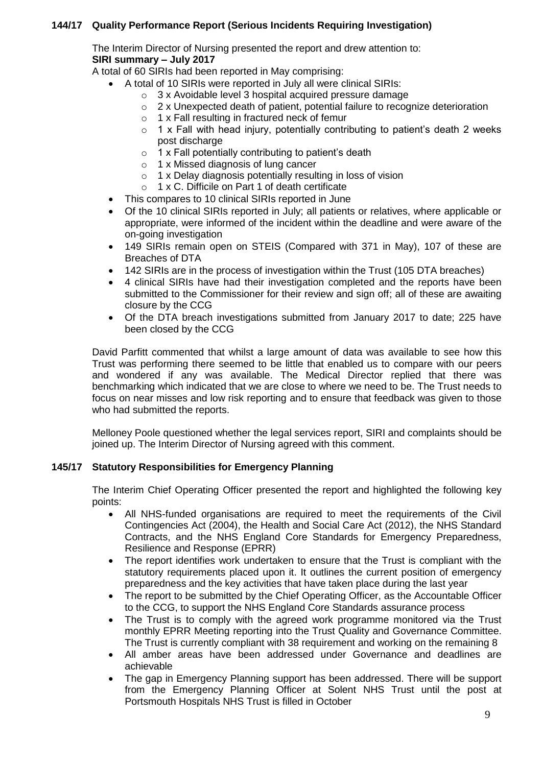# **144/17 Quality Performance Report (Serious Incidents Requiring Investigation)**

The Interim Director of Nursing presented the report and drew attention to: **SIRI summary – July 2017**

A total of 60 SIRIs had been reported in May comprising:

- A total of 10 SIRIs were reported in July all were clinical SIRIs:
	- o 3 x Avoidable level 3 hospital acquired pressure damage
	- o 2 x Unexpected death of patient, potential failure to recognize deterioration
	- o 1 x Fall resulting in fractured neck of femur
	- $\circ$  1 x Fall with head injury, potentially contributing to patient's death 2 weeks post discharge
	- $\circ$  1 x Fall potentially contributing to patient's death
	- o 1 x Missed diagnosis of lung cancer
	- o 1 x Delay diagnosis potentially resulting in loss of vision
	- o 1 x C. Difficile on Part 1 of death certificate
- This compares to 10 clinical SIRIs reported in June
- Of the 10 clinical SIRIs reported in July; all patients or relatives, where applicable or appropriate, were informed of the incident within the deadline and were aware of the on-going investigation
- 149 SIRIs remain open on STEIS (Compared with 371 in May), 107 of these are Breaches of DTA
- 142 SIRIs are in the process of investigation within the Trust (105 DTA breaches)
- 4 clinical SIRIs have had their investigation completed and the reports have been submitted to the Commissioner for their review and sign off; all of these are awaiting closure by the CCG
- Of the DTA breach investigations submitted from January 2017 to date; 225 have been closed by the CCG

David Parfitt commented that whilst a large amount of data was available to see how this Trust was performing there seemed to be little that enabled us to compare with our peers and wondered if any was available. The Medical Director replied that there was benchmarking which indicated that we are close to where we need to be. The Trust needs to focus on near misses and low risk reporting and to ensure that feedback was given to those who had submitted the reports.

Melloney Poole questioned whether the legal services report, SIRI and complaints should be joined up. The Interim Director of Nursing agreed with this comment.

## **145/17 Statutory Responsibilities for Emergency Planning**

The Interim Chief Operating Officer presented the report and highlighted the following key points:

- All NHS-funded organisations are required to meet the requirements of the Civil Contingencies Act (2004), the Health and Social Care Act (2012), the NHS Standard Contracts, and the NHS England Core Standards for Emergency Preparedness, Resilience and Response (EPRR)
- The report identifies work undertaken to ensure that the Trust is compliant with the statutory requirements placed upon it. It outlines the current position of emergency preparedness and the key activities that have taken place during the last year
- The report to be submitted by the Chief Operating Officer, as the Accountable Officer to the CCG, to support the NHS England Core Standards assurance process
- The Trust is to comply with the agreed work programme monitored via the Trust monthly EPRR Meeting reporting into the Trust Quality and Governance Committee. The Trust is currently compliant with 38 requirement and working on the remaining 8
- All amber areas have been addressed under Governance and deadlines are achievable
- The gap in Emergency Planning support has been addressed. There will be support from the Emergency Planning Officer at Solent NHS Trust until the post at Portsmouth Hospitals NHS Trust is filled in October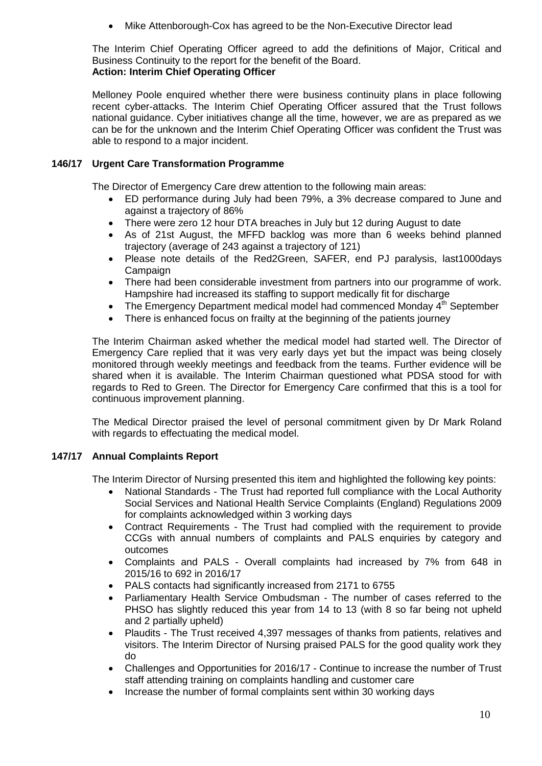Mike Attenborough-Cox has agreed to be the Non-Executive Director lead

The Interim Chief Operating Officer agreed to add the definitions of Major, Critical and Business Continuity to the report for the benefit of the Board.

**Action: Interim Chief Operating Officer**

Melloney Poole enquired whether there were business continuity plans in place following recent cyber-attacks. The Interim Chief Operating Officer assured that the Trust follows national guidance. Cyber initiatives change all the time, however, we are as prepared as we can be for the unknown and the Interim Chief Operating Officer was confident the Trust was able to respond to a major incident.

# **146/17 Urgent Care Transformation Programme**

The Director of Emergency Care drew attention to the following main areas:

- ED performance during July had been 79%, a 3% decrease compared to June and against a trajectory of 86%
- There were zero 12 hour DTA breaches in July but 12 during August to date
- As of 21st August, the MFFD backlog was more than 6 weeks behind planned trajectory (average of 243 against a trajectory of 121)
- Please note details of the Red2Green, SAFER, end PJ paralysis, last1000days Campaign
- There had been considerable investment from partners into our programme of work. Hampshire had increased its staffing to support medically fit for discharge
- The Emergency Department medical model had commenced Monday  $4<sup>th</sup>$  September
- There is enhanced focus on frailty at the beginning of the patients journey

The Interim Chairman asked whether the medical model had started well. The Director of Emergency Care replied that it was very early days yet but the impact was being closely monitored through weekly meetings and feedback from the teams. Further evidence will be shared when it is available. The Interim Chairman questioned what PDSA stood for with regards to Red to Green. The Director for Emergency Care confirmed that this is a tool for continuous improvement planning.

The Medical Director praised the level of personal commitment given by Dr Mark Roland with regards to effectuating the medical model.

# **147/17 Annual Complaints Report**

The Interim Director of Nursing presented this item and highlighted the following key points:

- National Standards The Trust had reported full compliance with the Local Authority Social Services and National Health Service Complaints (England) Regulations 2009 for complaints acknowledged within 3 working days
- Contract Requirements The Trust had complied with the requirement to provide CCGs with annual numbers of complaints and PALS enquiries by category and outcomes
- Complaints and PALS Overall complaints had increased by 7% from 648 in 2015/16 to 692 in 2016/17
- PALS contacts had significantly increased from 2171 to 6755
- Parliamentary Health Service Ombudsman The number of cases referred to the PHSO has slightly reduced this year from 14 to 13 (with 8 so far being not upheld and 2 partially upheld)
- Plaudits The Trust received 4,397 messages of thanks from patients, relatives and visitors. The Interim Director of Nursing praised PALS for the good quality work they do
- Challenges and Opportunities for 2016/17 Continue to increase the number of Trust staff attending training on complaints handling and customer care
- Increase the number of formal complaints sent within 30 working days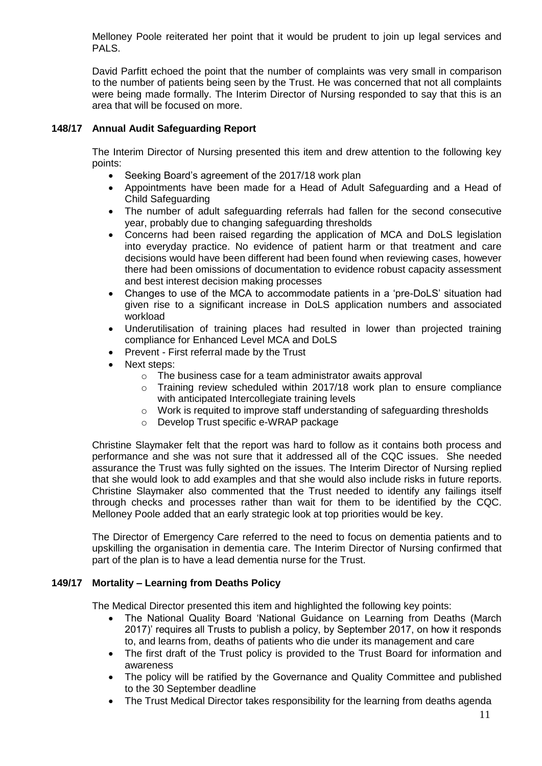Melloney Poole reiterated her point that it would be prudent to join up legal services and PALS.

David Parfitt echoed the point that the number of complaints was very small in comparison to the number of patients being seen by the Trust. He was concerned that not all complaints were being made formally. The Interim Director of Nursing responded to say that this is an area that will be focused on more.

# **148/17 Annual Audit Safeguarding Report**

The Interim Director of Nursing presented this item and drew attention to the following key points:

- Seeking Board's agreement of the 2017/18 work plan
- Appointments have been made for a Head of Adult Safeguarding and a Head of Child Safeguarding
- The number of adult safeguarding referrals had fallen for the second consecutive year, probably due to changing safeguarding thresholds
- Concerns had been raised regarding the application of MCA and DoLS legislation into everyday practice. No evidence of patient harm or that treatment and care decisions would have been different had been found when reviewing cases, however there had been omissions of documentation to evidence robust capacity assessment and best interest decision making processes
- Changes to use of the MCA to accommodate patients in a 'pre-DoLS' situation had given rise to a significant increase in DoLS application numbers and associated workload
- Underutilisation of training places had resulted in lower than projected training compliance for Enhanced Level MCA and DoLS
- Prevent First referral made by the Trust
- Next steps:
	- $\circ$  The business case for a team administrator awaits approval
	- o Training review scheduled within 2017/18 work plan to ensure compliance with anticipated Intercollegiate training levels
	- $\circ$  Work is requited to improve staff understanding of safeguarding thresholds
	- o Develop Trust specific e-WRAP package

Christine Slaymaker felt that the report was hard to follow as it contains both process and performance and she was not sure that it addressed all of the CQC issues. She needed assurance the Trust was fully sighted on the issues. The Interim Director of Nursing replied that she would look to add examples and that she would also include risks in future reports. Christine Slaymaker also commented that the Trust needed to identify any failings itself through checks and processes rather than wait for them to be identified by the CQC. Melloney Poole added that an early strategic look at top priorities would be key.

The Director of Emergency Care referred to the need to focus on dementia patients and to upskilling the organisation in dementia care. The Interim Director of Nursing confirmed that part of the plan is to have a lead dementia nurse for the Trust.

## **149/17 Mortality – Learning from Deaths Policy**

The Medical Director presented this item and highlighted the following key points:

- The National Quality Board 'National Guidance on Learning from Deaths (March 2017)' requires all Trusts to publish a policy, by September 2017, on how it responds to, and learns from, deaths of patients who die under its management and care
- The first draft of the Trust policy is provided to the Trust Board for information and awareness
- The policy will be ratified by the Governance and Quality Committee and published to the 30 September deadline
- The Trust Medical Director takes responsibility for the learning from deaths agenda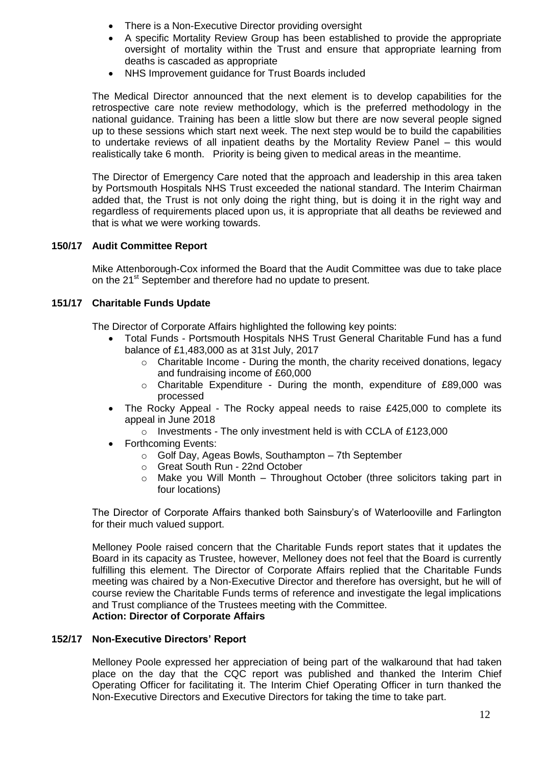- There is a Non-Executive Director providing oversight
- A specific Mortality Review Group has been established to provide the appropriate oversight of mortality within the Trust and ensure that appropriate learning from deaths is cascaded as appropriate
- NHS Improvement guidance for Trust Boards included

The Medical Director announced that the next element is to develop capabilities for the retrospective care note review methodology, which is the preferred methodology in the national guidance. Training has been a little slow but there are now several people signed up to these sessions which start next week. The next step would be to build the capabilities to undertake reviews of all inpatient deaths by the Mortality Review Panel – this would realistically take 6 month. Priority is being given to medical areas in the meantime.

The Director of Emergency Care noted that the approach and leadership in this area taken by Portsmouth Hospitals NHS Trust exceeded the national standard. The Interim Chairman added that, the Trust is not only doing the right thing, but is doing it in the right way and regardless of requirements placed upon us, it is appropriate that all deaths be reviewed and that is what we were working towards.

## **150/17 Audit Committee Report**

Mike Attenborough-Cox informed the Board that the Audit Committee was due to take place on the 21<sup>st</sup> September and therefore had no update to present.

## **151/17 Charitable Funds Update**

The Director of Corporate Affairs highlighted the following key points:

- Total Funds Portsmouth Hospitals NHS Trust General Charitable Fund has a fund balance of £1,483,000 as at 31st July, 2017
	- o Charitable Income During the month, the charity received donations, legacy and fundraising income of £60,000
	- o Charitable Expenditure During the month, expenditure of £89,000 was processed
- The Rocky Appeal The Rocky appeal needs to raise £425,000 to complete its appeal in June 2018
	- $\circ$  Investments The only investment held is with CCLA of £123,000
- Forthcoming Events:
	- o Golf Day, Ageas Bowls, Southampton 7th September
	- o Great South Run 22nd October
	- $\circ$  Make you Will Month Throughout October (three solicitors taking part in four locations)

The Director of Corporate Affairs thanked both Sainsbury's of Waterlooville and Farlington for their much valued support.

Melloney Poole raised concern that the Charitable Funds report states that it updates the Board in its capacity as Trustee, however, Melloney does not feel that the Board is currently fulfilling this element. The Director of Corporate Affairs replied that the Charitable Funds meeting was chaired by a Non-Executive Director and therefore has oversight, but he will of course review the Charitable Funds terms of reference and investigate the legal implications and Trust compliance of the Trustees meeting with the Committee. **Action: Director of Corporate Affairs**

### **152/17 Non-Executive Directors' Report**

Melloney Poole expressed her appreciation of being part of the walkaround that had taken place on the day that the CQC report was published and thanked the Interim Chief Operating Officer for facilitating it. The Interim Chief Operating Officer in turn thanked the Non-Executive Directors and Executive Directors for taking the time to take part.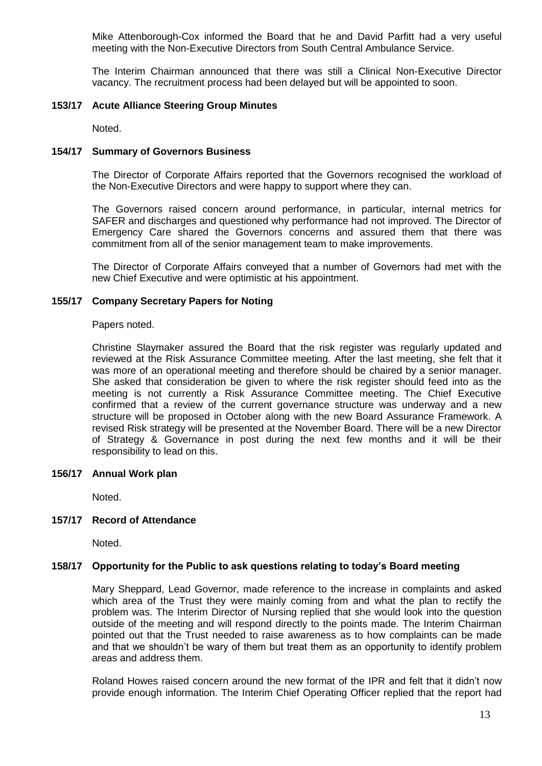Mike Attenborough-Cox informed the Board that he and David Parfitt had a very useful meeting with the Non-Executive Directors from South Central Ambulance Service.

The Interim Chairman announced that there was still a Clinical Non-Executive Director vacancy. The recruitment process had been delayed but will be appointed to soon.

### **153/17 Acute Alliance Steering Group Minutes**

Noted.

### **154/17 Summary of Governors Business**

The Director of Corporate Affairs reported that the Governors recognised the workload of the Non-Executive Directors and were happy to support where they can.

The Governors raised concern around performance, in particular, internal metrics for SAFER and discharges and questioned why performance had not improved. The Director of Emergency Care shared the Governors concerns and assured them that there was commitment from all of the senior management team to make improvements.

The Director of Corporate Affairs conveyed that a number of Governors had met with the new Chief Executive and were optimistic at his appointment.

### **155/17 Company Secretary Papers for Noting**

Papers noted.

Christine Slaymaker assured the Board that the risk register was regularly updated and reviewed at the Risk Assurance Committee meeting. After the last meeting, she felt that it was more of an operational meeting and therefore should be chaired by a senior manager. She asked that consideration be given to where the risk register should feed into as the meeting is not currently a Risk Assurance Committee meeting. The Chief Executive confirmed that a review of the current governance structure was underway and a new structure will be proposed in October along with the new Board Assurance Framework. A revised Risk strategy will be presented at the November Board. There will be a new Director of Strategy & Governance in post during the next few months and it will be their responsibility to lead on this.

### **156/17 Annual Work plan**

Noted.

## **157/17 Record of Attendance**

Noted.

### **158/17 Opportunity for the Public to ask questions relating to today's Board meeting**

Mary Sheppard, Lead Governor, made reference to the increase in complaints and asked which area of the Trust they were mainly coming from and what the plan to rectify the problem was. The Interim Director of Nursing replied that she would look into the question outside of the meeting and will respond directly to the points made. The Interim Chairman pointed out that the Trust needed to raise awareness as to how complaints can be made and that we shouldn't be wary of them but treat them as an opportunity to identify problem areas and address them.

Roland Howes raised concern around the new format of the IPR and felt that it didn't now provide enough information. The Interim Chief Operating Officer replied that the report had